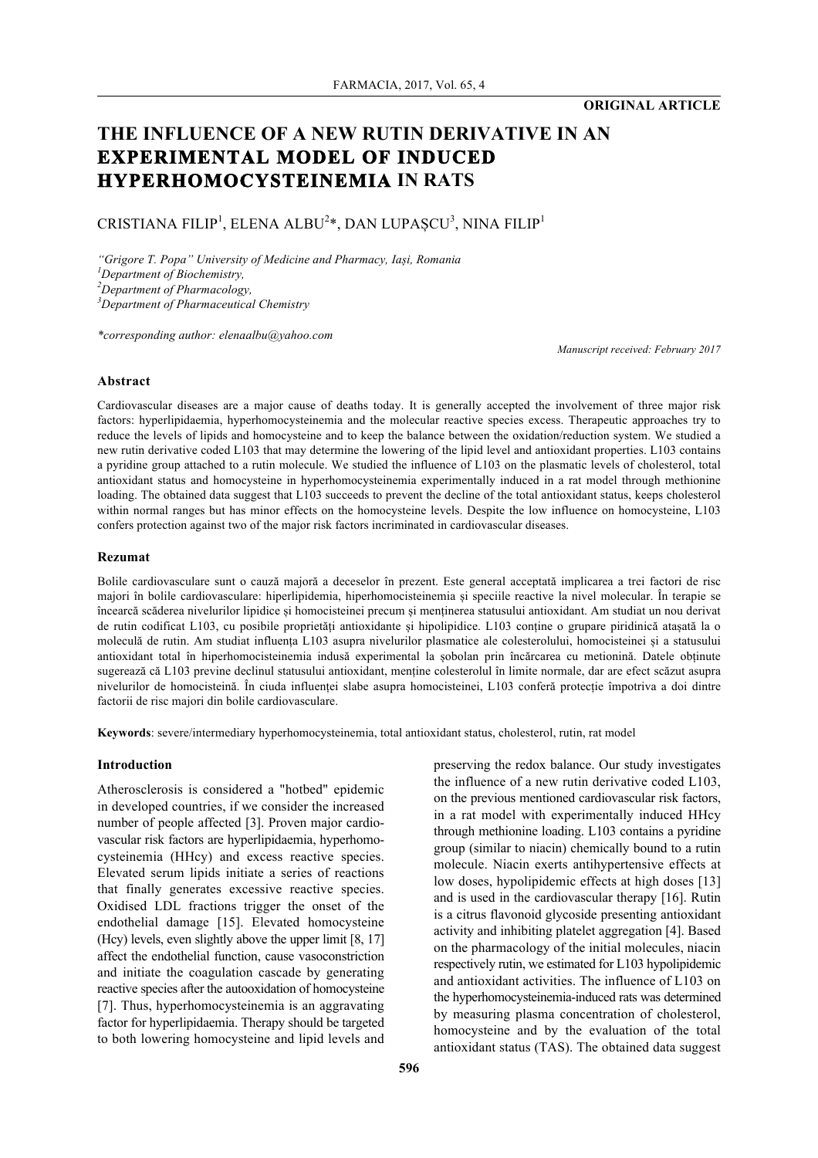## **ORIGINAL ARTICLE**

# **THE INFLUENCE OF A NEW RUTIN DERIVATIVE IN AN EXPERIMENTAL MODEL OF INDUCED HYPERHOMOCYSTEINEMIA IN RATS**

# CRISTIANA FILIP<sup>1</sup>, ELENA ALBU<sup>2</sup>\*, DAN LUPAȘCU<sup>3</sup>, NINA FILIP<sup>1</sup>

*"Grigore T. Popa" University of Medicine and Pharmacy, Iași, Romania*

*1 Department of Biochemistry,*

*2 Department of Pharmacology,*

*3 Department of Pharmaceutical Chemistry*

*\*corresponding author: elenaalbu@yahoo.com*

*Manuscript received: February 2017*

## **Abstract**

Cardiovascular diseases are a major cause of deaths today. It is generally accepted the involvement of three major risk factors: hyperlipidaemia, hyperhomocysteinemia and the molecular reactive species excess. Therapeutic approaches try to reduce the levels of lipids and homocysteine and to keep the balance between the oxidation/reduction system. We studied a new rutin derivative coded L103 that may determine the lowering of the lipid level and antioxidant properties. L103 contains a pyridine group attached to a rutin molecule. We studied the influence of L103 on the plasmatic levels of cholesterol, total antioxidant status and homocysteine in hyperhomocysteinemia experimentally induced in a rat model through methionine loading. The obtained data suggest that L103 succeeds to prevent the decline of the total antioxidant status, keeps cholesterol within normal ranges but has minor effects on the homocysteine levels. Despite the low influence on homocysteine, L103 confers protection against two of the major risk factors incriminated in cardiovascular diseases.

#### **Rezumat**

Bolile cardiovasculare sunt o cauză majoră a deceselor în prezent. Este general acceptată implicarea a trei factori de risc majori în bolile cardiovasculare: hiperlipidemia, hiperhomocisteinemia și speciile reactive la nivel molecular. În terapie se încearcă scăderea nivelurilor lipidice și homocisteinei precum și menținerea statusului antioxidant. Am studiat un nou derivat de rutin codificat L103, cu posibile proprietăți antioxidante și hipolipidice. L103 conține o grupare piridinică atașată la o moleculă de rutin. Am studiat influența L103 asupra nivelurilor plasmatice ale colesterolului, homocisteinei și a statusului antioxidant total în hiperhomocisteinemia indusă experimental la șobolan prin încărcarea cu metionină. Datele obținute sugerează că L103 previne declinul statusului antioxidant, menține colesterolul în limite normale, dar are efect scăzut asupra nivelurilor de homocisteină. În ciuda influenței slabe asupra homocisteinei, L103 conferă protecție împotriva a doi dintre factorii de risc majori din bolile cardiovasculare.

**Keywords**: severe/intermediary hyperhomocysteinemia, total antioxidant status, cholesterol, rutin, rat model

## **Introduction**

Atherosclerosis is considered a "hotbed" epidemic in developed countries, if we consider the increased number of people affected [3]. Proven major cardiovascular risk factors are hyperlipidaemia, hyperhomocysteinemia (HHcy) and excess reactive species. Elevated serum lipids initiate a series of reactions that finally generates excessive reactive species. Oxidised LDL fractions trigger the onset of the endothelial damage [15]. Elevated homocysteine (Hcy) levels, even slightly above the upper limit [8, 17] affect the endothelial function, cause vasoconstriction and initiate the coagulation cascade by generating reactive species after the autooxidation of homocysteine [7]. Thus, hyperhomocysteinemia is an aggravating factor for hyperlipidaemia. Therapy should be targeted to both lowering homocysteine and lipid levels and

preserving the redox balance. Our study investigates the influence of a new rutin derivative coded L103, on the previous mentioned cardiovascular risk factors, in a rat model with experimentally induced HHcy through methionine loading. L103 contains a pyridine group (similar to niacin) chemically bound to a rutin molecule. Niacin exerts antihypertensive effects at low doses, hypolipidemic effects at high doses [13] and is used in the cardiovascular therapy [16]. Rutin is a citrus flavonoid glycoside presenting antioxidant activity and inhibiting platelet aggregation [4]. Based on the pharmacology of the initial molecules, niacin respectively rutin, we estimated for L103 hypolipidemic and antioxidant activities. The influence of L103 on the hyperhomocysteinemia-induced rats was determined by measuring plasma concentration of cholesterol, homocysteine and by the evaluation of the total antioxidant status (TAS). The obtained data suggest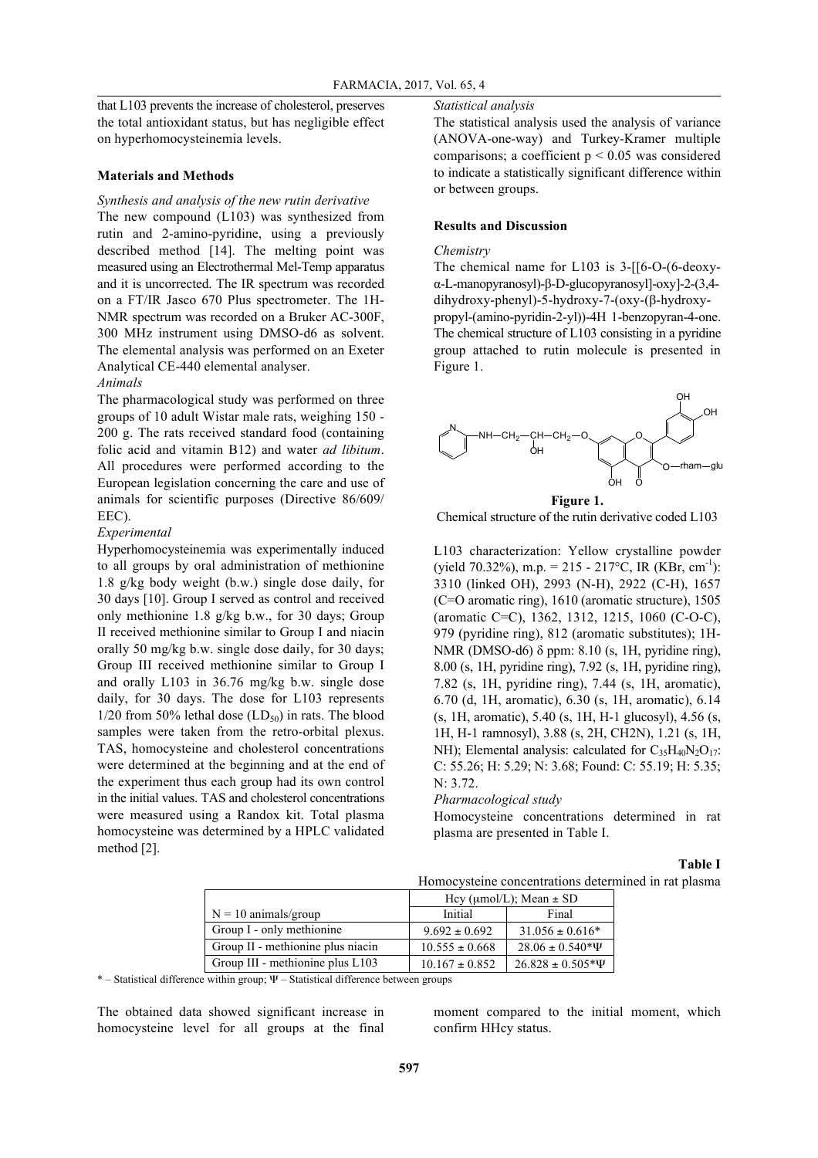that L103 prevents the increase of cholesterol, preserves the total antioxidant status, but has negligible effect on hyperhomocysteinemia levels.

#### **Materials and Methods**

## *Synthesis and analysis of the new rutin derivative*

The new compound (L103) was synthesized from rutin and 2-amino-pyridine, using a previously described method [14]. The melting point was measured using an Electrothermal Mel-Temp apparatus and it is uncorrected. The IR spectrum was recorded on a FT/IR Jasco 670 Plus spectrometer. The 1H-NMR spectrum was recorded on a Bruker AC-300F, 300 MHz instrument using DMSO-d6 as solvent. The elemental analysis was performed on an Exeter Analytical CE-440 elemental analyser.

## *Animals*

The pharmacological study was performed on three groups of 10 adult Wistar male rats, weighing 150 - 200 g. The rats received standard food (containing folic acid and vitamin B12) and water *ad libitum*. All procedures were performed according to the European legislation concerning the care and use of animals for scientific purposes (Directive 86/609/ EEC).

## *Experimental*

Hyperhomocysteinemia was experimentally induced to all groups by oral administration of methionine 1.8 g/kg body weight (b.w.) single dose daily, for 30 days [10]. Group I served as control and received only methionine 1.8 g/kg b.w., for 30 days; Group II received methionine similar to Group I and niacin orally 50 mg/kg b.w. single dose daily, for 30 days; Group III received methionine similar to Group I and orally L103 in 36.76 mg/kg b.w. single dose daily, for 30 days. The dose for L103 represents  $1/20$  from 50% lethal dose  $(LD_{50})$  in rats. The blood samples were taken from the retro-orbital plexus. TAS, homocysteine and cholesterol concentrations were determined at the beginning and at the end of the experiment thus each group had its own control in the initial values. TAS and cholesterol concentrations were measured using a Randox kit. Total plasma homocysteine was determined by a HPLC validated method [2].

## *Statistical analysis*

The statistical analysis used the analysis of variance (ANOVA-one-way) and Turkey-Kramer multiple comparisons; a coefficient  $p < 0.05$  was considered to indicate a statistically significant difference within or between groups.

## **Results and Discussion**

## *Chemistry*

The chemical name for L103 is 3-[[6-O-(6-deoxyα-L-manopyranosyl)-β-D-glucopyranosyl]-oxy]-2-(3,4 dihydroxy-phenyl)-5-hydroxy-7-(oxy-(β-hydroxypropyl-(amino-pyridin-2-yl))-4H 1-benzopyran-4-one. The chemical structure of L103 consisting in a pyridine group attached to rutin molecule is presented in Figure 1.



Chemical structure of the rutin derivative coded L103

L103 characterization: Yellow crystalline powder  $(yield 70.32\%), m.p. = 215 - 217\degree C$ , IR (KBr, cm<sup>-1</sup>): 3310 (linked OH), 2993 (N-H), 2922 (C-H), 1657 (C=O aromatic ring), 1610 (aromatic structure), 1505 (aromatic C=C), 1362, 1312, 1215, 1060 (C-O-C), 979 (pyridine ring), 812 (aromatic substitutes); 1H-NMR (DMSO-d6) δ ppm: 8.10 (s, 1H, pyridine ring), 8.00 (s, 1H, pyridine ring), 7.92 (s, 1H, pyridine ring), 7.82 (s, 1H, pyridine ring), 7.44 (s, 1H, aromatic), 6.70 (d, 1H, aromatic), 6.30 (s, 1H, aromatic), 6.14 (s, 1H, aromatic), 5.40 (s, 1H, H-1 glucosyl), 4.56 (s, 1H, H-1 ramnosyl), 3.88 (s, 2H, CH2N), 1.21 (s, 1H, NH); Elemental analysis: calculated for  $C_{35}H_{40}N_2O_{17}$ : C: 55.26; H: 5.29; N: 3.68; Found: C: 55.19; H: 5.35; N: 3.72.

*Pharmacological study*

Homocysteine concentrations determined in rat plasma are presented in Table I.

## **Table I**

| Homocysteine concentrations determined in rat plasma |  |  |  |
|------------------------------------------------------|--|--|--|
|------------------------------------------------------|--|--|--|

|                                   | Hey ( $\mu$ mol/L); Mean $\pm$ SD |                          |  |
|-----------------------------------|-----------------------------------|--------------------------|--|
| $N = 10$ animals/group            | Initial                           | Final                    |  |
| Group I - only methionine         | $9.692 \pm 0.692$                 | $31.056 \pm 0.616*$      |  |
| Group II - methionine plus niacin | $10.555 \pm 0.668$                | $28.06 \pm 0.540* \Psi$  |  |
| Group III - methionine plus L103  | $10.167 \pm 0.852$                | $26.828 \pm 0.505* \Psi$ |  |

\* – Statistical difference within group; Ψ – Statistical difference between groups

The obtained data showed significant increase in homocysteine level for all groups at the final

moment compared to the initial moment, which confirm HHcy status.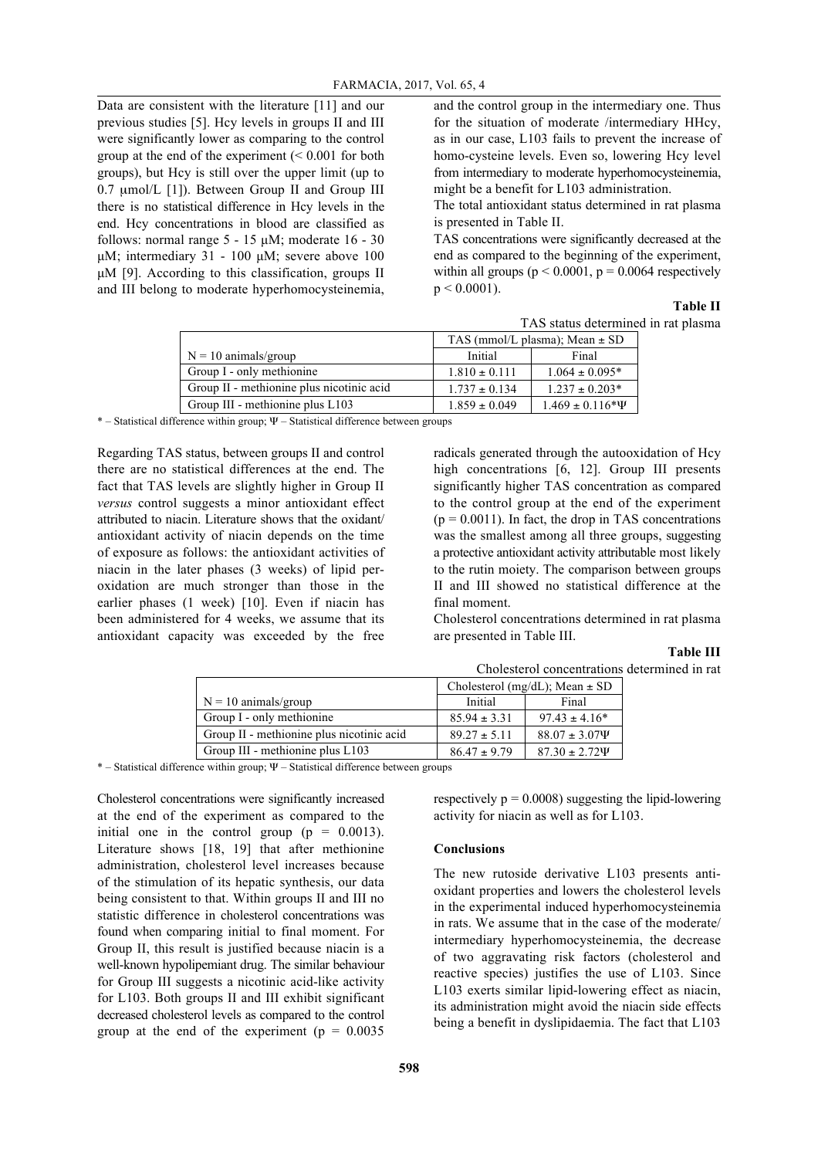Data are consistent with the literature [11] and our previous studies [5]. Hcy levels in groups II and III were significantly lower as comparing to the control group at the end of the experiment (< 0.001 for both groups), but Hcy is still over the upper limit (up to 0.7 µmol/L [1]). Between Group II and Group III there is no statistical difference in Hcy levels in the end. Hcy concentrations in blood are classified as follows: normal range  $5 - 15 \mu M$ ; moderate  $16 - 30$ µM; intermediary 31 - 100 µM; severe above 100 µM [9]. According to this classification, groups II and III belong to moderate hyperhomocysteinemia, and the control group in the intermediary one. Thus for the situation of moderate /intermediary HHcy, as in our case, L103 fails to prevent the increase of homo-cysteine levels. Even so, lowering Hcy level from intermediary to moderate hyperhomocysteinemia, might be a benefit for L103 administration.

The total antioxidant status determined in rat plasma is presented in Table II.

TAS concentrations were significantly decreased at the end as compared to the beginning of the experiment, within all groups ( $p < 0.0001$ ,  $p = 0.0064$  respectively  $p < 0.0001$ ).

## **Table II**

TAS status determined in rat plasma

|                                           | TAS (mmol/L plasma); Mean $\pm$ SD |                         |  |
|-------------------------------------------|------------------------------------|-------------------------|--|
| $N = 10$ animals/group                    | Initial                            | Final                   |  |
| Group I - only methionine                 | $1.810 \pm 0.111$                  | $1.064 \pm 0.095*$      |  |
| Group II - methionine plus nicotinic acid | $1.737 \pm 0.134$                  | $1.237 \pm 0.203*$      |  |
| Group III - methionine plus L103          | $1.859 \pm 0.049$                  | $1.469 \pm 0.116* \Psi$ |  |

 $*$  – Statistical difference within group;  $\Psi$  – Statistical difference between groups

Regarding TAS status, between groups II and control there are no statistical differences at the end. The fact that TAS levels are slightly higher in Group II *versus* control suggests a minor antioxidant effect attributed to niacin. Literature shows that the oxidant/ antioxidant activity of niacin depends on the time of exposure as follows: the antioxidant activities of niacin in the later phases (3 weeks) of lipid peroxidation are much stronger than those in the earlier phases (1 week) [10]. Even if niacin has been administered for 4 weeks, we assume that its antioxidant capacity was exceeded by the free radicals generated through the autooxidation of Hcy high concentrations [6, 12]. Group III presents significantly higher TAS concentration as compared to the control group at the end of the experiment  $(p = 0.0011)$ . In fact, the drop in TAS concentrations was the smallest among all three groups, suggesting a protective antioxidant activity attributable most likely to the rutin moiety. The comparison between groups II and III showed no statistical difference at the final moment.

Cholesterol concentrations determined in rat plasma are presented in Table III.

#### **Table III** Cholesterol concentrations determined in rat

|                                           | Cholesterol (mg/dL); Mean $\pm$ SD |                      |
|-------------------------------------------|------------------------------------|----------------------|
| $N = 10$ animals/group                    | Initial                            | Final                |
| Group I - only methionine                 | $85.94 \pm 3.31$                   | $97.43 \pm 4.16^*$   |
| Group II - methionine plus nicotinic acid | $89.27 \pm 5.11$                   | $88.07 \pm 3.07\Psi$ |
| Group III - methionine plus L103          | $86.47 \pm 9.79$                   | $87.30 \pm 2.72\Psi$ |

\* – Statistical difference within group;  $\Psi$  – Statistical difference between groups

Cholesterol concentrations were significantly increased at the end of the experiment as compared to the initial one in the control group  $(p = 0.0013)$ . Literature shows [18, 19] that after methionine administration, cholesterol level increases because of the stimulation of its hepatic synthesis, our data being consistent to that. Within groups II and III no statistic difference in cholesterol concentrations was found when comparing initial to final moment. For Group II, this result is justified because niacin is a well-known hypolipemiant drug. The similar behaviour for Group III suggests a nicotinic acid-like activity for L103. Both groups II and III exhibit significant decreased cholesterol levels as compared to the control group at the end of the experiment ( $p = 0.0035$ )

respectively  $p = 0.0008$ ) suggesting the lipid-lowering activity for niacin as well as for L103.

#### **Conclusions**

The new rutoside derivative L103 presents antioxidant properties and lowers the cholesterol levels in the experimental induced hyperhomocysteinemia in rats. We assume that in the case of the moderate/ intermediary hyperhomocysteinemia, the decrease of two aggravating risk factors (cholesterol and reactive species) justifies the use of L103. Since L103 exerts similar lipid-lowering effect as niacin, its administration might avoid the niacin side effects being a benefit in dyslipidaemia. The fact that L103